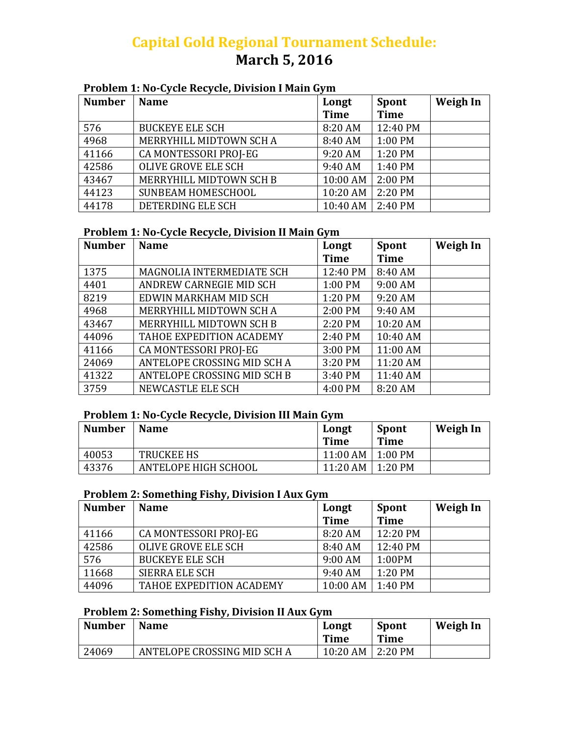# **Capital Gold Regional Tournament Schedule: March 5, 2016**

#### **Problem 1: No‐Cycle Recycle, Division I Main Gym**

| <b>Number</b> | <b>Name</b>             | Longt<br><b>Time</b> | Spont<br><b>Time</b> | Weigh In |
|---------------|-------------------------|----------------------|----------------------|----------|
| 576           | <b>BUCKEYE ELE SCH</b>  | 8:20 AM              | 12:40 PM             |          |
| 4968          | MERRYHILL MIDTOWN SCH A | 8:40 AM              | $1:00$ PM            |          |
| 41166         | CA MONTESSORI PROJ-EG   | 9:20 AM              | 1:20 PM              |          |
| 42586         | OLIVE GROVE ELE SCH     | 9:40 AM              | 1:40 PM              |          |
| 43467         | MERRYHILL MIDTOWN SCH B | 10:00 AM             | $2:00$ PM            |          |
| 44123         | SUNBEAM HOMESCHOOL      | 10:20 AM             | 2:20 PM              |          |
| 44178         | DETERDING ELE SCH       | 10:40 AM             | 2:40 PM              |          |

## **Problem 1: No‐Cycle Recycle, Division II Main Gym**

| <b>Number</b> | <b>Name</b>                 | Longt       | <b>Spont</b> | <b>Weigh In</b> |
|---------------|-----------------------------|-------------|--------------|-----------------|
|               |                             | <b>Time</b> | <b>Time</b>  |                 |
| 1375          | MAGNOLIA INTERMEDIATE SCH   | 12:40 PM    | 8:40 AM      |                 |
| 4401          | ANDREW CARNEGIE MID SCH     | 1:00 PM     | 9:00 AM      |                 |
| 8219          | EDWIN MARKHAM MID SCH       | 1:20 PM     | 9:20 AM      |                 |
| 4968          | MERRYHILL MIDTOWN SCH A     | 2:00 PM     | 9:40 AM      |                 |
| 43467         | MERRYHILL MIDTOWN SCH B     | 2:20 PM     | 10:20 AM     |                 |
| 44096         | TAHOE EXPEDITION ACADEMY    | 2:40 PM     | 10:40 AM     |                 |
| 41166         | CA MONTESSORI PROJ-EG       | 3:00 PM     | 11:00 AM     |                 |
| 24069         | ANTELOPE CROSSING MID SCH A | 3:20 PM     | 11:20 AM     |                 |
| 41322         | ANTELOPE CROSSING MID SCH B | 3:40 PM     | 11:40 AM     |                 |
| 3759          | NEWCASTLE ELE SCH           | 4:00 PM     | 8:20 AM      |                 |

#### **Problem 1: No‐Cycle Recycle, Division III Main Gym**

| <b>Number</b> | <b>Name</b>          | Longt<br><b>Time</b> | <b>Spont</b><br>Time | Weigh In |
|---------------|----------------------|----------------------|----------------------|----------|
| 40053         | <b>TRUCKEE HS</b>    | 11:00 AM             | $1:00$ PM            |          |
| 43376         | ANTELOPE HIGH SCHOOL | 11:20 AM             | 1:20 PM              |          |

## **Problem 2: Something Fishy, Division I Aux Gym**

| <b>Number</b> | <b>Name</b>                | Longt       | <b>Spont</b> | Weigh In |
|---------------|----------------------------|-------------|--------------|----------|
|               |                            | <b>Time</b> | <b>Time</b>  |          |
| 41166         | CA MONTESSORI PROJ-EG      | 8:20 AM     | 12:20 PM     |          |
| 42586         | <b>OLIVE GROVE ELE SCH</b> | 8:40 AM     | 12:40 PM     |          |
| 576           | <b>BUCKEYE ELE SCH</b>     | $9:00$ AM   | 1:00PM       |          |
| 11668         | <b>SIERRA ELE SCH</b>      | 9:40 AM     | 1:20 PM      |          |
| 44096         | TAHOE EXPEDITION ACADEMY   | 10:00 AM    | 1:40 PM      |          |

## **Problem 2: Something Fishy, Division II Aux Gym**

| <b>Number</b> | <b>Name</b>                 | Longt<br><b>Time</b> | <b>Spont</b><br>Time | Weigh In |
|---------------|-----------------------------|----------------------|----------------------|----------|
| 24069         | ANTELOPE CROSSING MID SCH A | $10:20$ AM           | $\overline{2:20}$ PM |          |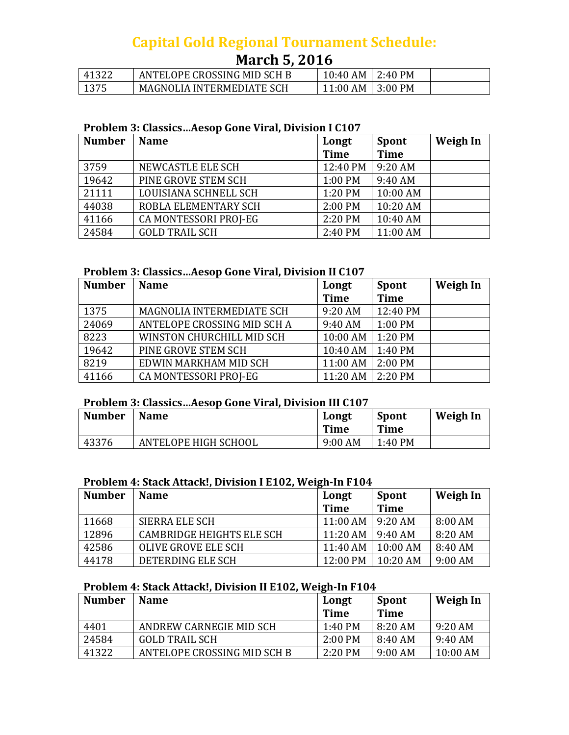# **Capital Gold Regional Tournament Schedule:**

# **March 5, 2016**

| 41322 | ANTELOPE CROSSING MID SCH B      | 10:40 AM | $\pm 2:40$ PM   |  |
|-------|----------------------------------|----------|-----------------|--|
| 1375  | <b>MAGNOLIA INTERMEDIATE SCH</b> | 11:00 AM | $\vert$ 3:00 PM |  |

#### **Problem 3: Classics…Aesop Gone Viral, Division I C107**

| <b>Number</b> | <b>Name</b>           | Longt       | <b>Spont</b> | <b>Weigh In</b> |
|---------------|-----------------------|-------------|--------------|-----------------|
|               |                       | <b>Time</b> | <b>Time</b>  |                 |
| 3759          | NEWCASTLE ELE SCH     | 12:40 PM    | 9:20 AM      |                 |
| 19642         | PINE GROVE STEM SCH   | 1:00 PM     | 9:40 AM      |                 |
| 21111         | LOUISIANA SCHNELL SCH | 1:20 PM     | 10:00 AM     |                 |
| 44038         | ROBLA ELEMENTARY SCH  | 2:00 PM     | 10:20 AM     |                 |
| 41166         | CA MONTESSORI PROJ-EG | 2:20 PM     | 10:40 AM     |                 |
| 24584         | <b>GOLD TRAIL SCH</b> | 2:40 PM     | 11:00 AM     |                 |

#### **Problem 3: Classics…Aesop Gone Viral, Division II C107**

| <b>Number</b> | <b>Name</b>                      | Longt       | <b>Spont</b> | Weigh In |
|---------------|----------------------------------|-------------|--------------|----------|
|               |                                  | <b>Time</b> | <b>Time</b>  |          |
| 1375          | <b>MAGNOLIA INTERMEDIATE SCH</b> | 9:20 AM     | 12:40 PM     |          |
| 24069         | ANTELOPE CROSSING MID SCH A      | 9:40 AM     | $1:00$ PM    |          |
| 8223          | WINSTON CHURCHILL MID SCH        | 10:00 AM    | $1:20$ PM    |          |
| 19642         | PINE GROVE STEM SCH              | 10:40 AM    | $1:40$ PM    |          |
| 8219          | EDWIN MARKHAM MID SCH            | 11:00 AM    | $2:00$ PM    |          |
| 41166         | CA MONTESSORI PROJ-EG            | 11:20 AM    | $2:20$ PM    |          |

#### **Problem 3: Classics…Aesop Gone Viral, Division III C107**

| <b>Number</b> | <b>Name</b>          | Longt<br><b>Time</b> | <b>Spont</b><br>Time | Weigh In |
|---------------|----------------------|----------------------|----------------------|----------|
| 43376         | ANTELOPE HIGH SCHOOL | $9:00$ AM            | 1:40 PM              |          |

#### **Problem 4: Stack Attack!, Division I E102, Weigh‐In F104**

| <b>Number</b> | <b>Name</b>                      | Longt       | Spont       | Weigh In |
|---------------|----------------------------------|-------------|-------------|----------|
|               |                                  | <b>Time</b> | <b>Time</b> |          |
| 11668         | SIERRA ELE SCH                   | $11:00$ AM  | $9:20$ AM   | 8:00 AM  |
| 12896         | <b>CAMBRIDGE HEIGHTS ELE SCH</b> | $11:20$ AM  | $9:40$ AM   | 8:20 AM  |
| 42586         | OLIVE GROVE ELE SCH              | 11:40 AM    | $10:00$ AM  | 8:40 AM  |
| 44178         | DETERDING ELE SCH                | 12:00 PM    | $10:20$ AM  | 9:00 AM  |

#### **Problem 4: Stack Attack!, Division II E102, Weigh‐In F104**

| <b>Number</b> | <b>Name</b>                 | Longt     | <b>Spont</b> | Weigh In   |
|---------------|-----------------------------|-----------|--------------|------------|
|               |                             | Time      | <b>Time</b>  |            |
| 4401          | ANDREW CARNEGIE MID SCH     | 1:40 PM   | 8:20 AM      | $9:20$ AM  |
| 24584         | <b>GOLD TRAIL SCH</b>       | $2:00$ PM | 8:40AM       | $9:40$ AM  |
| 41322         | ANTELOPE CROSSING MID SCH B | $2:20$ PM | 9:00 AM      | $10:00$ AM |